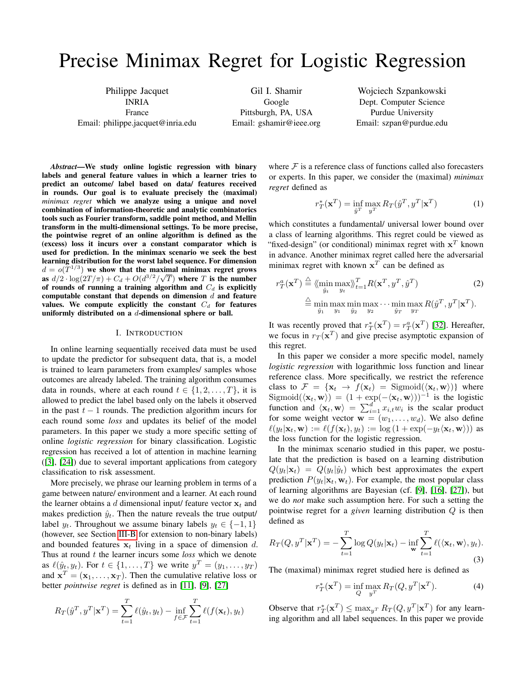# Precise Minimax Regret for Logistic Regression

Philippe Jacquet INRIA France Email: philippe.jacquet@inria.edu

Gil I. Shamir Google Pittsburgh, PA, USA Email: gshamir@ieee.org

Wojciech Szpankowski Dept. Computer Science Purdue University Email: szpan@purdue.edu

*Abstract*—We study online logistic regression with binary labels and general feature values in which a learner tries to predict an outcome/ label based on data/ features received in rounds. Our goal is to evaluate precisely the (maximal) *minimax regret* which we analyze using a unique and novel combination of information-theoretic and analytic combinatorics tools such as Fourier transform, saddle point method, and Mellin transform in the multi-dimensional settings. To be more precise, the pointwise regret of an online algorithm is defined as the (excess) loss it incurs over a constant comparator which is used for prediction. In the minimax scenario we seek the best learning distribution for the worst label sequence. For dimension  $d = o(T^{1/3})$  we show that the maximal minimax regret grows as  $d/2 \cdot \log(2T/\pi) + C_d + O(d^{3/2}/\sqrt{T})$  where T is the number of rounds of running a training algorithm and  $C_d$  is explicitly computable constant that depends on dimension  $d$  and feature values. We compute explicitly the constant  $C_d$  for features uniformly distributed on a d-dimensional sphere or ball.

#### I. INTRODUCTION

In online learning sequentially received data must be used to update the predictor for subsequent data, that is, a model is trained to learn parameters from examples/ samples whose outcomes are already labeled. The training algorithm consumes data in rounds, where at each round  $t \in \{1, 2, \ldots, T\}$ , it is allowed to predict the label based only on the labels it observed in the past  $t - 1$  rounds. The prediction algorithm incurs for each round some *loss* and updates its belief of the model parameters. In this paper we study a more specific setting of online *logistic regression* for binary classification. Logistic regression has received a lot of attention in machine learning ([\[3\]](#page-5-0), [\[24\]](#page-5-1)) due to several important applications from category classification to risk assessment.

More precisely, we phrase our learning problem in terms of a game between nature/ environment and a learner. At each round the learner obtains a d dimensional input/ feature vector  $x_t$  and makes prediction  $\hat{y}_t$ . Then the nature reveals the true output/ label  $y_t$ . Throughout we assume binary labels  $y_t \in \{-1, 1\}$ (however, see Section [III-B](#page-3-0) for extension to non-binary labels) and bounded features  $x_t$  living in a space of dimension d. Thus at round t the learner incurs some *loss* which we denote as  $\ell(\hat{y}_t, y_t)$ . For  $t \in \{1, \dots, T\}$  we write  $y^T = (y_1, \dots, y_T)$ and  $\mathbf{x}^T = (\mathbf{x}_1, \dots, \mathbf{x}_T)$ . Then the cumulative relative loss or better *pointwise regret* is defined as in [\[11\]](#page-5-2), [\[9\]](#page-5-3), [\[27\]](#page-5-4)

$$
R_T(\hat{y}^T, y^T | \mathbf{x}^T) = \sum_{t=1}^T \ell(\hat{y}_t, y_t) - \inf_{f \in \mathcal{F}} \sum_{t=1}^T \ell(f(\mathbf{x}_t), y_t)
$$

where  $\mathcal F$  is a reference class of functions called also forecasters or experts. In this paper, we consider the (maximal) *minimax regret* defined as

$$
r_T^*(\mathbf{x}^T) = \inf_{\hat{y}^T} \max_{y^T} R_T(\hat{y}^T, y^T | \mathbf{x}^T)
$$
(1)

which constitutes a fundamental/ universal lower bound over a class of learning algorithms. This regret could be viewed as "fixed-design" (or conditional) minimax regret with  $x^T$  known in advance. Another minimax regret called here the adversarial minimax regret with known  $x<sup>T</sup>$  can be defined as

$$
r_T^a(\mathbf{x}^T) \stackrel{\triangle}{=} \langle \min_{\hat{y}_t} \max_{y_t} \rangle \rangle_{t=1}^T R(\mathbf{x}^T, y^T, \hat{y}^T) \tag{2}
$$

$$
\stackrel{\triangle}{=} \min_{\hat{y}_1} \max_{y_1} \min_{\hat{y}_2} \max_{y_2} \dots \min_{\hat{y}_T} \max_{y_T} R(\hat{y}^T, y^T | \mathbf{x}^T).
$$

It was recently proved that  $r_T^*(\mathbf{x}^T) = r_T^a(\mathbf{x}^T)$  [\[32\]](#page-5-5). Hereafter, we focus in  $r_T(\mathbf{x}^T)$  and give precise asymptotic expansion of this regret.

In this paper we consider a more specific model, namely *logistic regression* with logarithmic loss function and linear reference class. More specifically, we restrict the reference class to  $\mathcal{F} = {\mathbf{x}_t \rightarrow f(\mathbf{x}_t) = \text{Sigmoid}(\langle \mathbf{x}_t, \mathbf{w} \rangle)}$  where Sigmoid( $\langle \mathbf{x}_t, \mathbf{w} \rangle$ ) =  $(1 + \exp(-\langle \mathbf{x}_t, \mathbf{w} \rangle))^{-1}$  is the logistic function and  $\langle \mathbf{x}_t, \mathbf{w} \rangle = \sum_{i=1}^d x_{i,t} w_i$  is the scalar product for some weight vector  $\mathbf{w} = (w_1, \dots, w_d)$ . We also define  $\ell(y_t|\mathbf{x}_t, \mathbf{w}) := \ell(f(\mathbf{x}_t), y_t) := \log (1 + \exp(-y_t\langle \mathbf{x}_t, \mathbf{w} \rangle))$  as the loss function for the logistic regression.

In the minimax scenario studied in this paper, we postulate that the prediction is based on a learning distribution  $Q(y_t|\mathbf{x}_t) = Q(y_t|\hat{y}_t)$  which best approximates the expert prediction  $P(y_t|\mathbf{x}_t, \mathbf{w}_t)$ . For example, the most popular class of learning algorithms are Bayesian (cf. [\[9\]](#page-5-3), [\[16\]](#page-5-6), [\[27\]](#page-5-4)), but we do *not* make such assumption here. For such a setting the pointwise regret for a *given* learning distribution Q is then defined as

<span id="page-0-1"></span>
$$
R_T(Q, y^T | \mathbf{x}^T) = -\sum_{t=1}^T \log Q(y_t | \mathbf{x}_t) - \inf_{\mathbf{w}} \sum_{t=1}^T \ell(\langle \mathbf{x}_t, \mathbf{w} \rangle, y_t).
$$
\n(3)

The (maximal) minimax regret studied here is defined as

<span id="page-0-0"></span>
$$
r_T^*(\mathbf{x}^T) = \inf_{Q} \max_{y^T} R_T(Q, y^T | \mathbf{x}^T).
$$
 (4)

Observe that  $r_T^*(\mathbf{x}^T) \le \max_{y^T} R_T(Q, y^T | \mathbf{x}^T)$  for any learning algorithm and all label sequences. In this paper we provide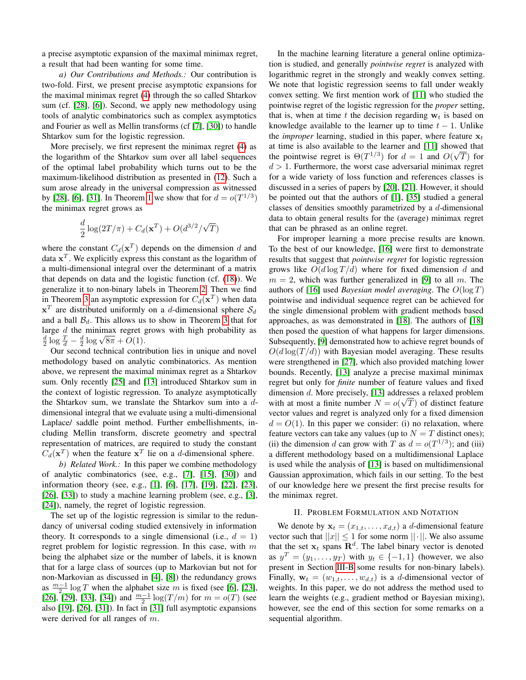a precise asymptotic expansion of the maximal minimax regret, a result that had been wanting for some time.

*a) Our Contributions and Methods.:* Our contribution is two-fold. First, we present precise asymptotic expansions for the maximal minimax regret [\(4\)](#page-0-0) through the so called Shtarkov sum (cf. [\[28\]](#page-5-7), [\[6\]](#page-5-8)). Second, we apply new methodology using tools of analytic combinatorics such as complex asymptotics and Fourier as well as Mellin transforms (cf [\[7\]](#page-5-9), [\[30\]](#page-5-10)) to handle Shtarkov sum for the logistic regression.

More precisely, we first represent the minimax regret [\(4\)](#page-0-0) as the logarithm of the Shtarkov sum over all label sequences of the optimal label probability which turns out to be the maximum-likelihood distribution as presented in [\(12\)](#page-2-0). Such a sum arose already in the universal compression as witnessed by [\[28\]](#page-5-7), [\[6\]](#page-5-8), [\[31\]](#page-5-11). In Theorem [1](#page-3-1) we show that for  $d = o(T^{1/3})$ the minimax regret grows as

$$
\frac{d}{2}\log(2T/\pi)+C_d(\mathbf{x}^T)+O(d^{3/2}/\sqrt{T})
$$

where the constant  $C_d(\mathbf{x}^T)$  depends on the dimension d and data  $x^T$ . We explicitly express this constant as the logarithm of a multi-dimensional integral over the determinant of a matrix that depends on data and the logistic function (cf. [\(18\)](#page-3-2)). We generalize it to non-binary labels in Theorem [2.](#page-3-3) Then we find in Theorem [3](#page-3-4) an asymptotic expression for  $C_d(\mathbf{x}^T)$  when data  $x<sup>T</sup>$  are distributed uniformly on a d-dimensional sphere  $S_d$ and a ball  $\mathcal{B}_d$ . This allows us to show in Theorem [3](#page-3-4) that for large  $d$  the minimax regret grows with high probability as d log  $\frac{a}{d} - \frac{d}{2} \log \sqrt{8\pi} + O(1)$ .

Our second technical contribution lies in unique and novel methodology based on analytic combinatorics. As mention above, we represent the maximal minimax regret as a Shtarkov sum. Only recently [\[25\]](#page-5-12) and [\[13\]](#page-5-13) introduced Shtarkov sum in the context of logistic regression. To analyze asymptotically the Shtarkov sum, we translate the Shtarkov sum into a ddimensional integral that we evaluate using a multi-dimensional Laplace/ saddle point method. Further embellishments, including Mellin transform, discrete geometry and spectral representation of matrices, are required to study the constant  $C_d(\mathbf{x}^T)$  when the feature  $\mathbf{x}^T$  lie on a *d*-dimensional sphere.

*b) Related Work.:* In this paper we combine methodology of analytic combinatorics (see, e.g., [\[7\]](#page-5-9), [\[15\]](#page-5-14), [\[30\]](#page-5-10)) and information theory (see, e.g., [\[1\]](#page-5-15), [\[6\]](#page-5-8), [\[17\]](#page-5-16), [\[19\]](#page-5-17), [\[22\]](#page-5-18), [\[23\]](#page-5-19), [\[26\]](#page-5-20), [\[33\]](#page-5-21)) to study a machine learning problem (see, e.g., [\[3\]](#page-5-0), [\[24\]](#page-5-1)), namely, the regret of logistic regression.

The set up of the logistic regression is similar to the redundancy of universal coding studied extensively in information theory. It corresponds to a single dimensional (i.e.,  $d = 1$ ) regret problem for logistic regression. In this case, with  $m$ being the alphabet size or the number of labels, it is known that for a large class of sources (up to Markovian but not for non-Markovian as discussed in [\[4\]](#page-5-22), [\[8\]](#page-5-23)) the redundancy grows as  $\frac{m-1}{2} \log T$  when the alphabet size m is fixed (see [\[6\]](#page-5-8), [\[23\]](#page-5-19), [\[26\]](#page-5-20), [\[29\]](#page-5-24), [\[33\]](#page-5-21), [\[34\]](#page-5-25)) and  $\frac{m-1}{2} \log(T/m)$  for  $m = o(T)$  (see also [\[19\]](#page-5-17), [\[26\]](#page-5-20), [\[31\]](#page-5-11)). In fact in [\[31\]](#page-5-11) full asymptotic expansions were derived for all ranges of m.

In the machine learning literature a general online optimization is studied, and generally *pointwise regret* is analyzed with logarithmic regret in the strongly and weakly convex setting. We note that logistic regression seems to fall under weakly convex setting. We first mention work of [\[11\]](#page-5-2) who studied the pointwise regret of the logistic regression for the *proper* setting, that is, when at time t the decision regarding  $w_t$  is based on knowledge available to the learner up to time  $t - 1$ . Unlike the *improper* learning, studied in this paper, where feature  $x_t$ at time is also available to the learner and [\[11\]](#page-5-2) showed that the pointwise regret is  $\Theta(T^{1/3})$  for  $d = 1$  and  $O(\sqrt{T})$  for  $d > 1$ . Furthermore, the worst case adversarial minimax regret for a wide variety of loss function and references classes is discussed in a series of papers by [\[20\]](#page-5-26), [\[21\]](#page-5-27). However, it should be pointed out that the authors of [\[1\]](#page-5-15), [\[35\]](#page-5-28) studied a general classes of densities smoothly parametrized by a d-dimensional data to obtain general results for the (average) minimax regret that can be phrased as an online regret.

For improper learning a more precise results are known. To the best of our knowledge, [\[16\]](#page-5-6) were first to demonstrate results that suggest that *pointwise regret* for logistic regression grows like  $O(d \log T/d)$  where for fixed dimension d and  $m = 2$ , which was further generalized in [\[9\]](#page-5-3) to all m. The authors of [\[16\]](#page-5-6) used *Bayesian model averaging*. The O(log T) pointwise and individual sequence regret can be achieved for the single dimensional problem with gradient methods based approaches, as was demonstrated in [\[18\]](#page-5-29). The authors of [\[18\]](#page-5-29) then posed the question of what happens for larger dimensions. Subsequently, [\[9\]](#page-5-3) demonstrated how to achieve regret bounds of  $O(d \log(T/d))$  with Bayesian model averaging. These results were strengthened in [\[27\]](#page-5-4), which also provided matching lower bounds. Recently, [\[13\]](#page-5-13) analyze a precise maximal minimax regret but only for *finite* number of feature values and fixed dimension *d*. More precisely, [\[13\]](#page-5-13) addresses a relaxed problem with at most a finite number  $N = o(\sqrt{T})$  of distinct feature vector values and regret is analyzed only for a fixed dimension  $d = O(1)$ . In this paper we consider: (i) no relaxation, where feature vectors can take any values (up to  $N = T$  distinct ones); (ii) the dimension d can grow with T as  $d = o(T^{1/3})$ ; and (iii) a different methodology based on a multidimensional Laplace is used while the analysis of [\[13\]](#page-5-13) is based on multidimensional Gaussian approximation, which fails in our setting. To the best of our knowledge here we present the first precise results for the minimax regret.

## II. PROBLEM FORMULATION AND NOTATION

We denote by  $\mathbf{x}_t = (x_{1,t}, \dots, x_{d,t})$  a d-dimensional feature vector such that  $||x|| \leq 1$  for some norm  $||\cdot||$ . We also assume that the set  $x_t$  spans  $\mathbb{R}^d$ . The label binary vector is denoted as  $y^T = (y_1, \ldots, y_T)$  with  $y_t \in \{-1, 1\}$  (however, we also present in Section [III-B](#page-3-0) some results for non-binary labels). Finally,  $\mathbf{w}_t = (w_{1,t}, \dots, w_{d,t})$  is a d-dimensional vector of weights. In this paper, we do not address the method used to learn the weights (e.g., gradient method or Bayesian mixing), however, see the end of this section for some remarks on a sequential algorithm.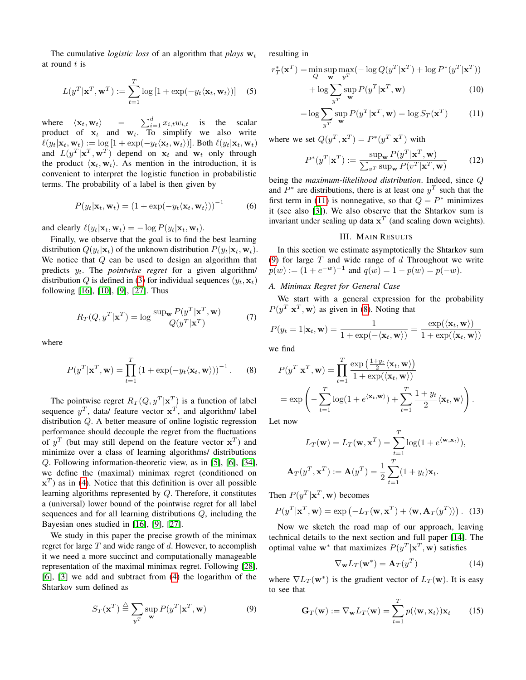The cumulative *logistic loss* of an algorithm that *plays*  $w_t$ at round  $t$  is

$$
L(y^T | \mathbf{x}^T, \mathbf{w}^T) := \sum_{t=1}^T \log \left[ 1 + \exp(-y_t \langle \mathbf{x}_t, \mathbf{w}_t \rangle) \right] \quad (5)
$$

where  $\langle \mathbf{x}_t, \mathbf{w}_t \rangle$  =  $\sum_{i=1}^d x_{i,t} w_{i,t}$  is the scalar product of  $x_t$  and  $w_t$ . To simplify we also write  $\ell(y_t|\mathbf{x}_t, \mathbf{w}_t) := \log [1 + \exp(-y_t\langle \mathbf{x}_t, \mathbf{w}_t \rangle)].$  Both  $\ell(y_t|\mathbf{x}_t, \mathbf{w}_t)$ and  $L(y^T | \mathbf{x}^T, \mathbf{w}^T)$  depend on  $\mathbf{x}_t$  and  $\mathbf{w}_t$  only through the product  $\langle \mathbf{x}_t, \mathbf{w}_t \rangle$ . As mention in the introduction, it is convenient to interpret the logistic function in probabilistic terms. The probability of a label is then given by

$$
P(y_t|\mathbf{x}_t, \mathbf{w}_t) = (1 + \exp(-y_t \langle \mathbf{x}_t, \mathbf{w}_t \rangle))^{-1}
$$
 (6)

and clearly  $\ell(y_t|\mathbf{x}_t, \mathbf{w}_t) = -\log P(y_t|\mathbf{x}_t, \mathbf{w}_t).$ 

Finally, we observe that the goal is to find the best learning distribution  $Q(y_t|\mathbf{x}_t)$  of the unknown distribution  $P(y_t|\mathbf{x}_t, \mathbf{w}_t)$ . We notice that  $Q$  can be used to design an algorithm that predicts yt. The *pointwise regret* for a given algorithm/ distribution Q is defined in [\(3\)](#page-0-1) for individual sequences  $(y_t, \mathbf{x}_t)$ following [\[16\]](#page-5-6), [\[10\]](#page-5-30), [\[9\]](#page-5-3), [\[27\]](#page-5-4). Thus

$$
R_T(Q, y^T | \mathbf{x}^T) = \log \frac{\sup_{\mathbf{w}} P(y^T | \mathbf{x}^T, \mathbf{w})}{Q(y^T | \mathbf{x}^T)}
$$
(7)

where

<span id="page-2-3"></span>
$$
P(y^T|\mathbf{x}^T,\mathbf{w}) = \prod_{t=1}^T (1 + \exp(-y_t \langle \mathbf{x}_t, \mathbf{w} \rangle))^{-1}.
$$
 (8)

The pointwise regret  $R_T(Q, y^T | \mathbf{x}^T)$  is a function of label sequence  $y^T$ , data/ feature vector  $x^T$ , and algorithm/ label distribution Q. A better measure of online logistic regression performance should decouple the regret from the fluctuations of  $y^T$  (but may still depend on the feature vector  $x^T$ ) and minimize over a class of learning algorithms/ distributions Q. Following information-theoretic view, as in [\[5\]](#page-5-31), [\[6\]](#page-5-8), [\[34\]](#page-5-25), we define the (maximal) minimax regret (conditioned on  $\mathbf{x}^T$ ) as in [\(4\)](#page-0-0). Notice that this definition is over all possible learning algorithms represented by Q. Therefore, it constitutes a (universal) lower bound of the pointwise regret for all label sequences and for all learning distributions Q, including the Bayesian ones studied in [\[16\]](#page-5-6), [\[9\]](#page-5-3), [\[27\]](#page-5-4).

We study in this paper the precise growth of the minimax regret for large  $T$  and wide range of  $d$ . However, to accomplish it we need a more succinct and computationally manageable representation of the maximal minimax regret. Following [\[28\]](#page-5-7), [\[6\]](#page-5-8), [\[3\]](#page-5-0) we add and subtract from [\(4\)](#page-0-0) the logarithm of the Shtarkov sum defined as

<span id="page-2-2"></span>
$$
S_T(\mathbf{x}^T) \stackrel{\triangle}{=} \sum_{y^T} \sup_{\mathbf{w}} P(y^T | \mathbf{x}^T, \mathbf{w})
$$
(9)

resulting in

$$
r_T^*(\mathbf{x}^T) = \min_{Q} \sup_{\mathbf{w}} \max_{y^T} (-\log Q(y^T | \mathbf{x}^T) + \log P^*(y^T | \mathbf{x}^T))
$$

$$
+ \log \sum_{y^T} \sup_{y^T} P(y^T | \mathbf{x}^T, \mathbf{w})
$$
(10)

<span id="page-2-1"></span>
$$
= \log \sum_{y^T} \sup_{\mathbf{w}} P(y^T | \mathbf{x}^T, \mathbf{w}) = \log S_T(\mathbf{x}^T)
$$
(11)

where we set  $Q(y^T, \mathbf{x}^T) = P^*(y^T | \mathbf{x}^T)$  with

<span id="page-2-0"></span>
$$
P^*(y^T|\mathbf{x}^T) := \frac{\sup_{\mathbf{w}} P(y^T|\mathbf{x}^T, \mathbf{w})}{\sum_{v^T} \sup_{\mathbf{w}} P(v^T|\mathbf{x}^T, \mathbf{w})}
$$
(12)

being the *maximum-likelihood distribution*. Indeed, since Q and  $P^*$  are distributions, there is at least one  $y^T$  such that the first term in [\(11\)](#page-2-1) is nonnegative, so that  $Q = P^*$  minimizes it (see also [\[3\]](#page-5-0)). We also observe that the Shtarkov sum is invariant under scaling up data  $x^T$  (and scaling down weights).

# III. MAIN RESULTS

In this section we estimate asymptotically the Shtarkov sum [\(9\)](#page-2-2) for large  $T$  and wide range of  $d$  Throughout we write  $p(w) := (1 + e^{-w})^{-1}$  and  $q(w) = 1 - p(w) = p(-w)$ .

# *A. Minimax Regret for General Case*

We start with a general expression for the probability  $P(y^T|\mathbf{x}^T, \mathbf{w})$  as given in [\(8\)](#page-2-3). Noting that

$$
P(y_t = 1 | \mathbf{x}_t, \mathbf{w}) = \frac{1}{1 + \exp(-\langle \mathbf{x}_t, \mathbf{w} \rangle)} = \frac{\exp(\langle \mathbf{x}_t, \mathbf{w} \rangle)}{1 + \exp(\langle \mathbf{x}_t, \mathbf{w} \rangle)}
$$

we find

$$
P(y^T|\mathbf{x}^T, \mathbf{w}) = \prod_{t=1}^T \frac{\exp\left(\frac{1+y_t}{2}\langle \mathbf{x}_t, \mathbf{w} \rangle\right)}{1 + \exp(\langle \mathbf{x}_t, \mathbf{w} \rangle)}
$$
  
= 
$$
\exp\left(-\sum_{t=1}^T \log(1 + e^{\langle \mathbf{x}_t, \mathbf{w} \rangle}) + \sum_{t=1}^T \frac{1 + y_t}{2} \langle \mathbf{x}_t, \mathbf{w} \rangle\right).
$$

Let now

$$
L_T(\mathbf{w}) = L_T(\mathbf{w}, \mathbf{x}^T) = \sum_{t=1}^T \log(1 + e^{\langle \mathbf{w}, \mathbf{x}_t \rangle}),
$$
  

$$
\mathbf{A}_T(y^T, \mathbf{x}^T) := \mathbf{A}(y^T) = \frac{1}{2} \sum_{t=1}^T (1 + y_t) \mathbf{x}_t.
$$

Then  $P(y^T|\mathbf{x}^T, \mathbf{w})$  becomes

$$
P(y^T | \mathbf{x}^T, \mathbf{w}) = \exp(-L_T(\mathbf{w}, \mathbf{x}^T) + \langle \mathbf{w}, \mathbf{A}_T(y^T) \rangle). \tag{13}
$$

Now we sketch the road map of our approach, leaving technical details to the next section and full paper [\[14\]](#page-5-32). The optimal value w<sup>\*</sup> that maximizes  $P(y^T|\mathbf{x}^T, \mathbf{w})$  satisfies

$$
\nabla_{\mathbf{w}} L_T(\mathbf{w}^*) = \mathbf{A}_T(y^T) \tag{14}
$$

where  $\nabla L_T(\mathbf{w}^*)$  is the gradient vector of  $L_T(\mathbf{w})$ . It is easy to see that

$$
\mathbf{G}_T(\mathbf{w}) := \nabla_{\mathbf{w}} L_T(\mathbf{w}) = \sum_{t=1}^T p(\langle \mathbf{w}, \mathbf{x}_t \rangle) \mathbf{x}_t \qquad (15)
$$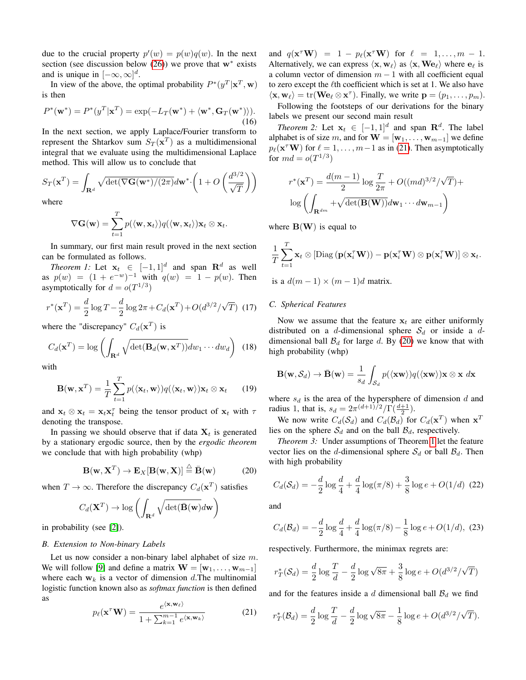due to the crucial property  $p'(w) = p(w)q(w)$ . In the next section (see discussion below  $(26)$ ) we prove that w<sup>\*</sup> exists and is unique in  $[-\infty, \infty]^d$ .

<span id="page-3-7"></span>In view of the above, the optimal probability  $P^*(y^T|\mathbf{x}^T,\mathbf{w})$ is then

$$
P^*(\mathbf{w}^*) = P^*(y^T|\mathbf{x}^T) = \exp(-L_T(\mathbf{w}^*) + \langle \mathbf{w}^*, \mathbf{G}_T(\mathbf{w}^*) \rangle). \tag{16}
$$

In the next section, we apply Laplace/Fourier transform to represent the Shtarkov sum  $S_T(\mathbf{x}^T)$  as a multidimensional integral that we evaluate using the multidimensional Laplace method. This will allow us to conclude that

$$
S_T(\mathbf{x}^T) = \int_{\mathbf{R}^d} \sqrt{\det(\nabla \mathbf{G}(\mathbf{w}^*)/(2\pi)} d\mathbf{w}^* \cdot \left(1 + O\left(\frac{d^{3/2}}{\sqrt{T}}\right)\right)
$$

where

$$
\nabla \mathbf{G}(\mathbf{w}) = \sum_{t=1}^T p(\langle \mathbf{w}, \mathbf{x}_t \rangle) q(\langle \mathbf{w}, \mathbf{x}_t \rangle) \mathbf{x}_t \otimes \mathbf{x}_t.
$$

In summary, our first main result proved in the next section can be formulated as follows.

<span id="page-3-1"></span>*Theorem 1:* Let  $\mathbf{x}_t \in [-1, 1]^d$  and span  $\mathbf{R}^d$  as well as  $p(w) = (1 + e^{-w})^{-1}$  with  $q(w) = 1 - p(w)$ . Then asymptotically for  $d = o(T^{1/3})$ 

$$
r^*(\mathbf{x}^T) = \frac{d}{2}\log T - \frac{d}{2}\log 2\pi + C_d(\mathbf{x}^T) + O(d^{3/2}/\sqrt{T})
$$
 (17)

where the "discrepancy"  $C_d(\mathbf{x}^T)$  is

$$
C_d(\mathbf{x}^T) = \log \left( \int_{\mathbf{R}^d} \sqrt{\det(\mathbf{B}_d(\mathbf{w}, \mathbf{x}^T))} dw_1 \cdots dw_d \right) (18)
$$

with

$$
\mathbf{B}(\mathbf{w}, \mathbf{x}^T) = \frac{1}{T} \sum_{t=1}^T p(\langle \mathbf{x}_t, \mathbf{w} \rangle) q(\langle \mathbf{x}_t, \mathbf{w} \rangle) \mathbf{x}_t \otimes \mathbf{x}_t \qquad (19)
$$

and  $\mathbf{x}_t \otimes \mathbf{x}_t = \mathbf{x}_t \mathbf{x}_t^{\tau}$  being the tensor product of  $\mathbf{x}_t$  with  $\tau$ denoting the transpose.

In passing we should observe that if data  $X_t$  is generated by a stationary ergodic source, then by the *ergodic theorem* we conclude that with high probability (whp)

$$
\mathbf{B}(\mathbf{w}, \mathbf{X}^T) \to \mathbf{E}_X[\mathbf{B}(\mathbf{w}, \mathbf{X})] \stackrel{\triangle}{=} \bar{\mathbf{B}}(\mathbf{w}) \tag{20}
$$

when  $T \to \infty$ . Therefore the discrepancy  $C_d(\mathbf{x}^T)$  satisfies

$$
C_d(\mathbf{X}^T) \to \log \left( \int_{\mathbf{R}^d} \sqrt{\det(\bar{\mathbf{B}}(\mathbf{w})} d\mathbf{w} \right)
$$

in probability (see [\[2\]](#page-5-33)).

#### <span id="page-3-0"></span>*B. Extension to Non-binary Labels*

Let us now consider a non-binary label alphabet of size m. We will follow [\[9\]](#page-5-3) and define a matrix  $\mathbf{W} = [\mathbf{w}_1, \dots, \mathbf{w}_{m-1}]$ where each  $w_k$  is a vector of dimension d. The multinomial logistic function known also as *softmax function* is then defined as

<span id="page-3-5"></span>
$$
p_{\ell}(\mathbf{x}^{\tau}\mathbf{W}) = \frac{e^{\langle \mathbf{x}, \mathbf{w}_{\ell} \rangle}}{1 + \sum_{k=1}^{m-1} e^{\langle \mathbf{x}, \mathbf{w}_{k} \rangle}}
$$
(21)

and  $q(\mathbf{x}^{\tau} \mathbf{W}) = 1 - p_{\ell}(\mathbf{x}^{\tau} \mathbf{W})$  for  $\ell = 1, ..., m - 1$ . Alternatively, we can express  $\langle \mathbf{x}, \mathbf{w}_{\ell} \rangle$  as  $\langle \mathbf{x}, \mathbf{W} \mathbf{e}_{\ell} \rangle$  where  $\mathbf{e}_{\ell}$  is a column vector of dimension  $m - 1$  with all coefficient equal to zero except the  $\ell$ th coefficient which is set at 1. We also have  $\langle \mathbf{x}, \mathbf{w}_{\ell} \rangle = \text{tr}(\mathbf{W} \mathbf{e}_{\ell} \otimes \mathbf{x}^{\tau})$ . Finally, we write  $\mathbf{p} = (p_1, \dots, p_m)$ .

Following the footsteps of our derivations for the binary labels we present our second main result

<span id="page-3-3"></span>*Theorem 2:* Let  $\mathbf{x}_t \in [-1, 1]^d$  and span  $\mathbb{R}^d$ . The label alphabet is of size m, and for  $\mathbf{W} = [\mathbf{w}_1, \dots, \mathbf{w}_{m-1}]$  we define  $p_{\ell}(\mathbf{x}^{\tau} \mathbf{W})$  for  $\ell = 1, ..., m-1$  as in [\(21\)](#page-3-5). Then asymptotically for  $md = o(T^{1/3})$ 

$$
r^*(\mathbf{x}^T) = \frac{d(m-1)}{2} \log \frac{T}{2\pi} + O((md)^{3/2}/\sqrt{T}) +
$$

$$
\log \left( \int_{\mathbf{R}^{dm}} + \sqrt{\det(\mathbf{B}(\mathbf{W}))} d\mathbf{w}_1 \cdots d\mathbf{w}_{m-1} \right)
$$

where  $B(W)$  is equal to

$$
\frac{1}{T} \sum_{t=1}^T \mathbf{x}_t \otimes \left[ \text{Diag} \left( \mathbf{p}(\mathbf{x}_i^{\mathsf{T}} \mathbf{W}) \right) - \mathbf{p}(\mathbf{x}_i^{\mathsf{T}} \mathbf{W}) \otimes \mathbf{p}(\mathbf{x}_i^{\mathsf{T}} \mathbf{W}) \right] \otimes \mathbf{x}_t.
$$

is a  $d(m-1) \times (m-1)d$  matrix.

#### *C. Spherical Features*

<span id="page-3-2"></span>Now we assume that the feature  $x_t$  are either uniformly distributed on a d-dimensional sphere  $S_d$  or inside a ddimensional ball  $\mathcal{B}_d$  for large d. By [\(20\)](#page-3-6) we know that with high probability (whp)

$$
\mathbf{B}(\mathbf{w},\mathcal{S}_d)\to\bar{\mathbf{B}}(\mathbf{w})=\frac{1}{s_d}\int_{\mathcal{S}_d}p(\langle\mathbf{x}\mathbf{w}\rangle)q(\langle\mathbf{x}\mathbf{w}\rangle)\mathbf{x}\otimes\mathbf{x} d\mathbf{x}
$$

where  $s_d$  is the area of the hypersphere of dimension d and radius 1, that is,  $s_d = 2\pi^{(d+1)/2}/\Gamma(\frac{d+1}{2})$ .

We now write  $C_d(\mathcal{S}_d)$  and  $C_d(\mathcal{B}_d)$  for  $C_d(\mathbf{x}^T)$  when  $\mathbf{x}^T$ lies on the sphere  $S_d$  and on the ball  $\mathcal{B}_d$ , respectively.

<span id="page-3-6"></span><span id="page-3-4"></span>*Theorem 3:* Under assumptions of Theorem [1](#page-3-1) let the feature vector lies on the d-dimensional sphere  $S_d$  or ball  $\mathcal{B}_d$ . Then with high probability

$$
C_d(\mathcal{S}_d) = -\frac{d}{2}\log\frac{d}{4} + \frac{d}{4}\log(\pi/8) + \frac{3}{8}\log e + O(1/d)
$$
 (22)

and

$$
C_d(\mathcal{B}_d) = -\frac{d}{2}\log\frac{d}{4} + \frac{d}{4}\log(\pi/8) - \frac{1}{8}\log e + O(1/d), \tag{23}
$$

respectively. Furthermore, the minimax regrets are:

$$
r_T^*(\mathcal{S}_d) = \frac{d}{2} \log \frac{T}{d} - \frac{d}{2} \log \sqrt{8\pi} + \frac{3}{8} \log e + O(d^{3/2}/\sqrt{T})
$$

and for the features inside a  $d$  dimensional ball  $\mathcal{B}_d$  we find

$$
r_T^*(\mathcal{B}_d) = \frac{d}{2}\log\frac{T}{d} - \frac{d}{2}\log\sqrt{8\pi} - \frac{1}{8}\log e + O(d^{3/2}/\sqrt{T}).
$$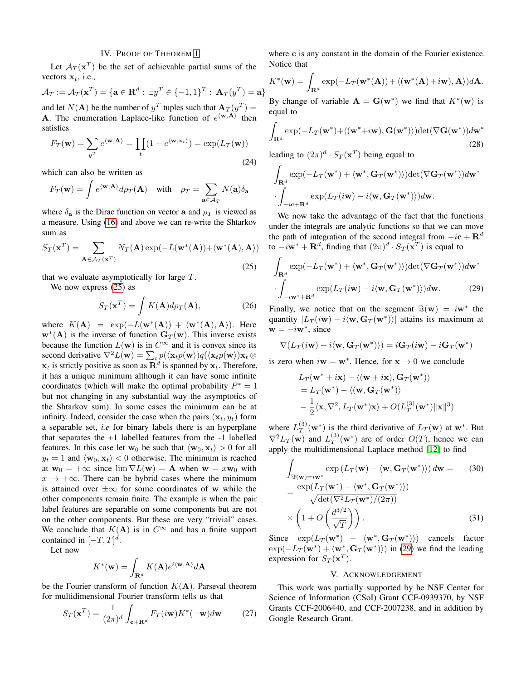#### IV. PROOF OF THEOREM [1](#page-3-1)

Let  $A_T(\mathbf{x}^T)$  be the set of achievable partial sums of the vectors  $x_t$ , i.e.,

 $\mathcal{A}_T:=\mathcal{A}_T(\mathbf{x}^T)=\{\mathbf{a}\in\mathbf{R}^d:\;\exists y^T\in\{-1,1\}^T:\:\mathbf{A}_T(y^T)=\mathbf{a}\}$ and let  $N(A)$  be the number of  $y<sup>T</sup>$  tuples such that  $A_T(y<sup>T</sup>) =$ **A**. The enumeration Laplace-like function of  $e^{(\mathbf{w}, \mathbf{A})}$  then satisfies

$$
F_T(\mathbf{w}) = \sum_{y^T} e^{\langle \mathbf{w}, \mathbf{A} \rangle} = \prod_t (1 + e^{\langle \mathbf{w}, \mathbf{x}_t \rangle}) = \exp(L_T(\mathbf{w}))
$$
\n(24)

which can also be written as

$$
F_T(\mathbf{w}) = \int e^{\langle \mathbf{w}, \mathbf{A} \rangle} d\rho_T(\mathbf{A}) \quad \text{with} \quad \rho_T = \sum_{\mathbf{a} \in \mathcal{A}_T} N(\mathbf{a}) \delta_{\mathbf{a}}
$$

where  $\delta_{a}$  is the Dirac function on vector a and  $\rho_{T}$  is viewed as a measure. Using [\(16\)](#page-3-7) and above we can re-write the Shtarkov sum as

<span id="page-4-1"></span>
$$
S_T(\mathbf{x}^T) = \sum_{\mathbf{A} \in \mathcal{A}_T(\mathbf{x}^T)} N_T(\mathbf{A}) \exp(-L(\mathbf{w}^*(\mathbf{A})) + \langle \mathbf{w}^*(\mathbf{A}), \mathbf{A} \rangle)
$$
(25)

that we evaluate asymptotically for large  $T$ .

We now express [\(25\)](#page-4-1) as

<span id="page-4-0"></span>
$$
S_T(\mathbf{x}^T) = \int K(\mathbf{A}) d\rho_T(\mathbf{A}), \qquad (26)
$$

where  $K(\mathbf{A}) = \exp(-L(\mathbf{w}^*(\mathbf{A})) + \langle \mathbf{w}^*(\mathbf{A}), \mathbf{A} \rangle)$ . Here  $w^*(A)$  is the inverse of function  $G_T(w)$ . This inverse exists because the function  $L(\mathbf{w})$  is in  $C^{\infty}$  and it is convex since its second derivative  $\nabla^2 L(\mathbf{w}) = \sum_t p(\langle \mathbf{x}_t p(\mathbf{w}) \rangle) q(\langle \mathbf{x}_t p(\mathbf{w}) \rangle) \mathbf{x}_t \otimes$  $\mathbf{x}_t$  is strictly positive as soon as  $\mathbf{R}^d$  is spanned by  $\mathbf{x}_t$ . Therefore, it has a unique minimum although it can have some infinite coordinates (which will make the optimal probability  $P^* = 1$ but not changing in any substantial way the asymptotics of the Shtarkov sum). In some cases the minimum can be at infinity. Indeed, consider the case when the pairs  $(\mathbf{x}_t, y_t)$  form a separable set, *i.e* for binary labels there is an hyperplane that separates the +1 labelled features from the -1 labelled features. In this case let  $w_0$  be such that  $\langle w_0, x_t \rangle > 0$  for all  $y_t = 1$  and  $\langle \mathbf{w}_0, \mathbf{x}_t \rangle < 0$  otherwise. The minimum is reached at  $w_0 = +\infty$  since  $\lim \nabla L(w) = A$  when  $w = xw_0$  with  $x \to +\infty$ . There can be hybrid cases where the minimum is attained over  $\pm \infty$  for some coordinates of w while the other components remain finite. The example is when the pair label features are separable on some components but are not on the other components. But these are very "trivial" cases. We conclude that  $K(A)$  is in  $C^{\infty}$  and has a finite support contained in  $[-T, T]^d$ .

Let now

$$
K^*(\mathbf{w}) = \int_{\mathbf{R}^d} K(\mathbf{A}) e^{i \langle \mathbf{w}, \mathbf{A} \rangle} d\mathbf{A}
$$

be the Fourier transform of function  $K(A)$ . Parseval theorem for multidimensional Fourier transform tells us that

$$
S_T(\mathbf{x}^T) = \frac{1}{(2\pi)^d} \int_{\mathbf{c} + \mathbf{R}^d} F_T(i\mathbf{w}) K^*(-\mathbf{w}) d\mathbf{w}
$$
 (27)

where c is any constant in the domain of the Fourier existence. Notice that

$$
K^*(\mathbf{w}) = \int_{\mathbf{R}^d} \exp(-L_T(\mathbf{w}^*(\mathbf{A})) + \langle (\mathbf{w}^*(\mathbf{A}) + i\mathbf{w}), \mathbf{A} \rangle) d\mathbf{A}.
$$

By change of variable  $\mathbf{A} = \mathbf{G}(\mathbf{w}^*)$  we find that  $K^*(\mathbf{w})$  is equal to

$$
\int_{\mathbf{R}^d} \exp(-L_T(\mathbf{w}^*) + \langle (\mathbf{w}^* + i\mathbf{w}), \mathbf{G}(\mathbf{w}^*)) \rangle) \det(\nabla \mathbf{G}(\mathbf{w}^*)) d\mathbf{w}^*
$$
\n(28)

leading to  $(2\pi)^d \cdot S_T(\mathbf{x}^T)$  being equal to

$$
\int_{\mathbf{R}^d} \exp(-L_T(\mathbf{w}^*) + \langle \mathbf{w}^*, \mathbf{G}_T(\mathbf{w}^*) \rangle) \det(\nabla \mathbf{G}_T(\mathbf{w}^*)) d\mathbf{w}^*
$$

$$
\cdot \int_{-i\mathbf{c} + \mathbf{R}^d} \exp(L_T(i\mathbf{w}) - i \langle \mathbf{w}, \mathbf{G}_T(\mathbf{w}^*) \rangle) d\mathbf{w}.
$$

We now take the advantage of the fact that the functions under the integrals are analytic functions so that we can move the path of integration of the second integral from  $-i\mathbf{c} + \mathbf{R}^d$ to  $-i\mathbf{w}^* + \mathbf{R}^d$ , finding that  $(2\pi)^d \cdot S_T(\mathbf{x}^T)$  is equal to

$$
\int_{\mathbf{R}^d} \exp(-L_T(\mathbf{w}^*) + \langle \mathbf{w}^*, \mathbf{G}_T(\mathbf{w}^*) \rangle) \det(\nabla \mathbf{G}_T(\mathbf{w}^*)) d\mathbf{w}^*
$$

$$
\cdot \int_{-i\mathbf{w}^* + \mathbf{R}^d} \exp(L_T(i\mathbf{w}) - i \langle \mathbf{w}, \mathbf{G}_T(\mathbf{w}^*) \rangle) d\mathbf{w}.
$$
(29)

Finally, we notice that on the segment  $\Im(\mathbf{w}) = i\mathbf{w}^*$  the quantity  $|L_T(iw) - i\langle w, \mathbf{G}_T (w^*)\rangle|$  attains its maximum at  $\mathbf{w} = -i\mathbf{w}^*$ , since

$$
\nabla(L_T(i\mathbf{w}) - i\langle \mathbf{w}, \mathbf{G}_T(\mathbf{w}^*)\rangle) = i\mathbf{G}_T(i\mathbf{w}) - i\mathbf{G}_T(\mathbf{w}^*)
$$

is zero when  $i\mathbf{w} = \mathbf{w}^*$ . Hence, for  $\mathbf{x} \to 0$  we conclude

<span id="page-4-2"></span>
$$
L_T(\mathbf{w}^* + i\mathbf{x}) - \langle (\mathbf{w} + i\mathbf{x}), \mathbf{G}_T(\mathbf{w}^*) \rangle
$$
  
=  $L_T(\mathbf{w}^*) - \langle (\mathbf{w}, \mathbf{G}_T(\mathbf{w}^*) \rangle$   

$$
- \frac{1}{2} \langle \mathbf{x}, \nabla^2, L_T(\mathbf{w}^*) \mathbf{x} \rangle + O(L_T^{(3)}(\mathbf{w}^*) ||\mathbf{x}||^3)
$$

where  $L_T^{(3)}$  $T(T^{(3)}(w^*))$  is the third derivative of  $L_T(w)$  at w<sup>\*</sup>. But  $\nabla^2 L_T(\mathbf{w})$  and  $L_T^{(3)}$  $T(T^{(3)}(w^*))$  are of order  $O(T)$ , hence we can apply the multidimensional Laplace method [\[12\]](#page-5-34) to find

$$
\int_{\Im(\mathbf{w}) = i\mathbf{w}^*} \exp(L_T(\mathbf{w}) - \langle \mathbf{w}, \mathbf{G}_T(\mathbf{w}^*) \rangle) d\mathbf{w} = (30)
$$
\n
$$
= \frac{\exp(L_T(\mathbf{w}^*) - \langle \mathbf{w}^*, \mathbf{G}_T(\mathbf{w}^*) \rangle)}{\sqrt{\det(\nabla^2 L_T(\mathbf{w}^*)/(2\pi))}}
$$
\n
$$
\times \left(1 + O\left(\frac{d^{3/2}}{\sqrt{T}}\right)\right). \tag{31}
$$

Since  $\exp(L_T(\mathbf{w}^*) - \langle \mathbf{w}^*, \mathbf{G}_T(\mathbf{w}^*) \rangle)$  cancels factor  $\exp(-L_T(\mathbf{w}^*) + \langle \mathbf{w}^*, \mathbf{G}_T(\mathbf{w}^*) \rangle)$  in [\(29\)](#page-4-2) we find the leading expression for  $S_T(\mathbf{x}^T)$ .

### V. ACKNOWLEDGEMENT

This work was partially supported by he NSF Center for Science of Information (CSoI) Grant CCF-0939370, by NSF Grants CCF-2006440, and CCF-2007238, and in addition by Google Research Grant.